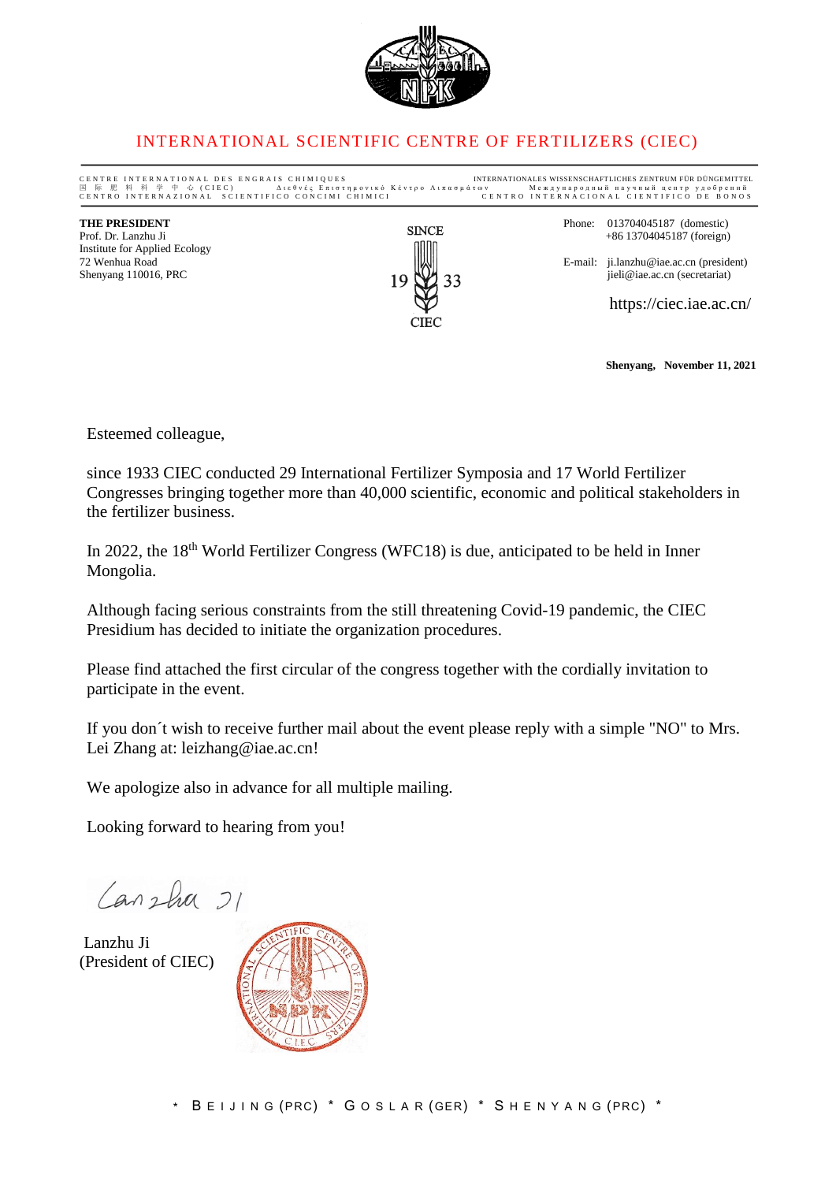

### INTERNATIONAL SCIENTIFIC CENTRE OF FERTILIZERS (CIEC)

CENTRE INTERNATIONAL DES ENGRAIS CHIMIQUES<br>国 际 肥 科 科 学 中 心 (CIEC) — Διεθνές Επιστημονικό Κέντρο Λιπασμάτων — Μεждународный научный центр удобрений<br>СЕΝТRO INTERNAZIONAL SCIENTIFICO CONCIMI CHIMICI — СЕΝТRO INTERNACIONAL CI <sup>国</sup> <sup>际</sup> <sup>肥</sup> <sup>料</sup> <sup>科</sup> <sup>学</sup> <sup>中</sup> <sup>心</sup> ( C I E C ) Δ ι ε θ ν έ ς Ε π ι σ τ η μ ο ν ι κ ό Κ έ ν τ ρ ο Λ ι π α σ μ ά τ ω ν М е ж д у н а р о д н ы й н а у ч н ы й ц е н т р у д о б р е н и й C E N T R O I N T E R N A Z I O N A L S C I E N T I F I C O C O N C I M I C H I M I C I C E N T R O I N T E R N A C I O N A L C I E N T I F I C O D E B ONOS **THE PRESIDENT**<br> **Phone:** 013704045187 (domestic)<br>
Phone: 013704045187 (domestic)<br>  $+8613704045187$  (foreign) +86 13704045187 (foreign) Institute for Applied Ecology E-mail: ji.lanzhu@iae.ac.cn (president)<br>jieli@iae.ac.cn (secretariat) Shenyang 110016, PRC https://ciec.iae.ac.cn/ **CIEC** 

**Shenyang, November 11, 2021**

Esteemed colleague,

since 1933 CIEC conducted 29 International Fertilizer Symposia and 17 World Fertilizer Congresses bringing together more than 40,000 scientific, economic and political stakeholders in the fertilizer business.

In 2022, the  $18<sup>th</sup>$  World Fertilizer Congress (WFC18) is due, anticipated to be held in Inner Mongolia.

Although facing serious constraints from the still threatening Covid-19 pandemic, the CIEC Presidium has decided to initiate the organization procedures.

Please find attached the first circular of the congress together with the cordially invitation to participate in the event.

If you don t wish to receive further mail about the event please reply with a simple "NO" to Mrs. Lei Zhang at: leizhang@iae.ac.cn!

We apologize also in advance for all multiple mailing.

Looking forward to hearing from you!

Canzha 21

Lanzhu Ji (President of CIEC)

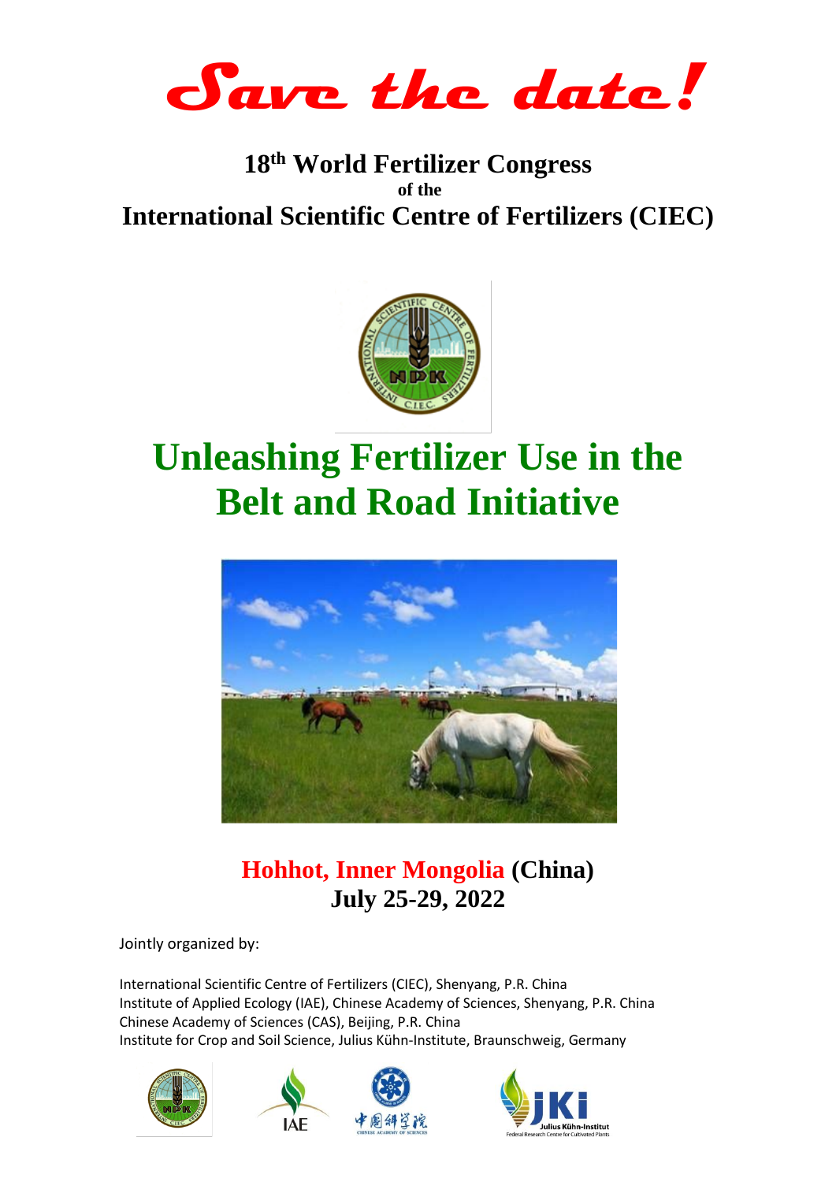**Save the date!**

# **18th World Fertilizer Congress of the International Scientific Centre of Fertilizers (CIEC)**



# **Unleashing Fertilizer Use in the Belt and Road Initiative**



# **Hohhot, Inner Mongolia (China) July 25-29, 2022**

Jointly organized by:

International Scientific Centre of Fertilizers (CIEC), Shenyang, P.R. China Institute of Applied Ecology (IAE), Chinese Academy of Sciences, Shenyang, P.R. China Chinese Academy of Sciences (CAS), Beijing, P.R. China Institute for Crop and Soil Science, Julius Kühn-Institute, Braunschweig, Germany







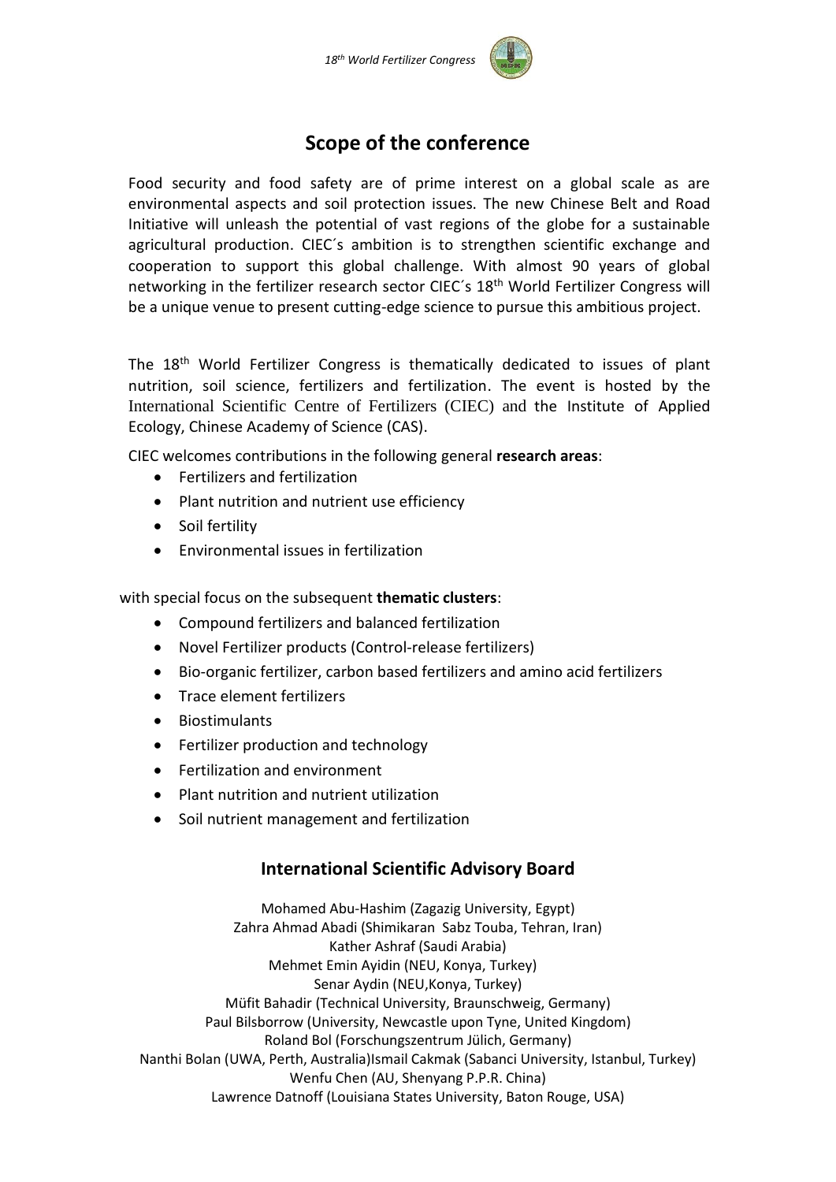

# **Scope of the conference**

Food security and food safety are of prime interest on a global scale as are environmental aspects and soil protection issues. The new Chinese Belt and Road Initiative will unleash the potential of vast regions of the globe for a sustainable agricultural production. CIEC´s ambition is to strengthen scientific exchange and cooperation to support this global challenge. With almost 90 years of global networking in the fertilizer research sector CIEC's 18<sup>th</sup> World Fertilizer Congress will be a unique venue to present cutting-edge science to pursue this ambitious project.

The 18<sup>th</sup> World Fertilizer Congress is thematically dedicated to issues of plant nutrition, soil science, fertilizers and fertilization. The event is hosted by the International Scientific Centre of Fertilizers (CIEC) and the Institute of Applied Ecology, Chinese Academy of Science (CAS).

CIEC welcomes contributions in the following general **research areas**:

- Fertilizers and fertilization
- Plant nutrition and nutrient use efficiency
- Soil fertility
- Environmental issues in fertilization

with special focus on the subsequent **thematic clusters**:

- Compound fertilizers and balanced fertilization
- Novel Fertilizer products (Control-release fertilizers)
- Bio-organic fertilizer, carbon based fertilizers and amino acid fertilizers
- Trace element fertilizers
- Biostimulants
- Fertilizer production and technology
- Fertilization and environment
- Plant nutrition and nutrient utilization
- Soil nutrient management and fertilization

### **International Scientific Advisory Board**

Mohamed Abu-Hashim (Zagazig University, Egypt) Zahra Ahmad Abadi (Shimikaran Sabz Touba, Tehran, Iran) Kather Ashraf (Saudi Arabia) Mehmet Emin Ayidin (NEU, Konya, Turkey) Senar Aydin (NEU,Konya, Turkey) Müfit Bahadir (Technical University, Braunschweig, Germany) Paul Bilsborrow (University, Newcastle upon Tyne, United Kingdom) Roland Bol (Forschungszentrum Jülich, Germany) Nanthi Bolan (UWA, Perth, Australia)Ismail Cakmak (Sabanci University, Istanbul, Turkey) Wenfu Chen (AU, Shenyang P.P.R. China) Lawrence Datnoff (Louisiana States University, Baton Rouge, USA)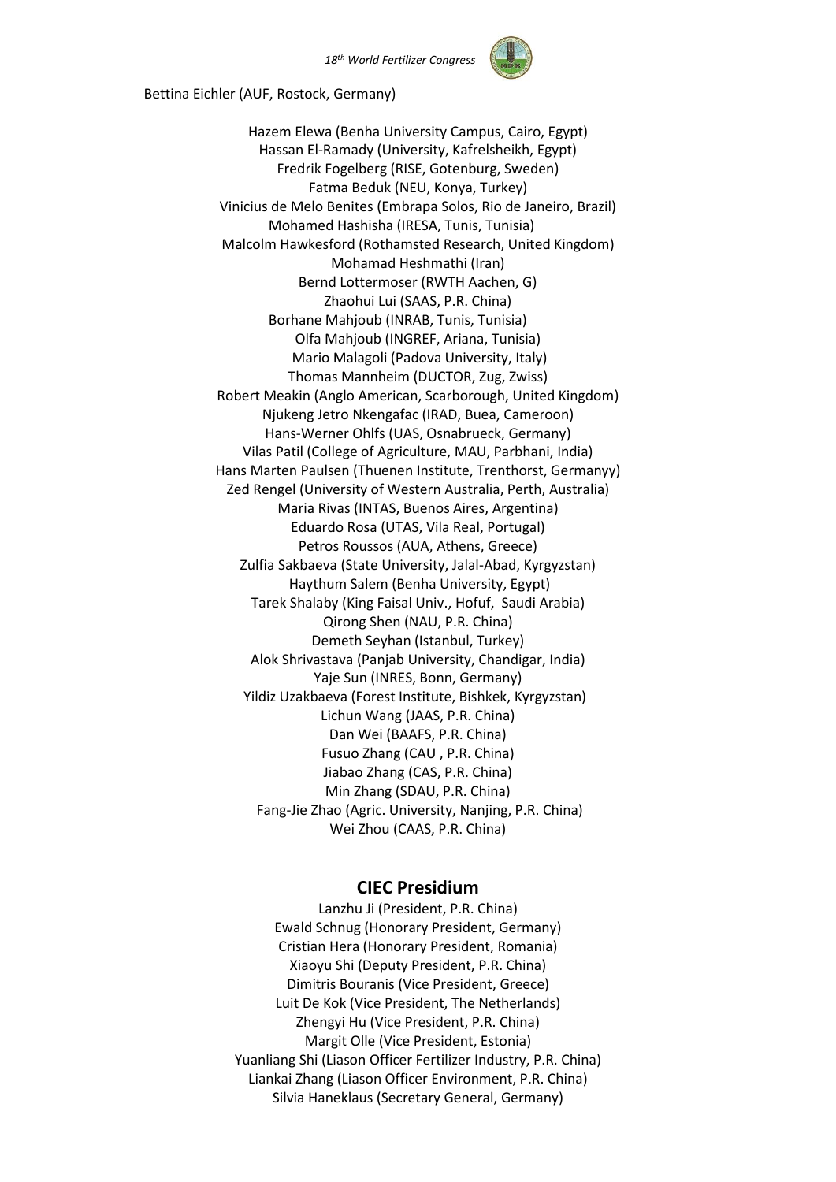

Bettina Eichler (AUF, Rostock, Germany)

Hazem Elewa (Benha University Campus, Cairo, Egypt) Hassan El-Ramady (University, Kafrelsheikh, Egypt) Fredrik Fogelberg (RISE, Gotenburg, Sweden) Fatma Beduk (NEU, Konya, Turkey) Vinicius de Melo Benites (Embrapa Solos, Rio de Janeiro, Brazil) Mohamed Hashisha (IRESA, Tunis, Tunisia) Malcolm Hawkesford (Rothamsted Research, United Kingdom) Mohamad Heshmathi (Iran) Bernd Lottermoser (RWTH Aachen, G) Zhaohui Lui (SAAS, P.R. China) Borhane Mahjoub (INRAB, Tunis, Tunisia) Olfa Mahjoub (INGREF, Ariana, Tunisia) Mario Malagoli (Padova University, Italy) Thomas Mannheim (DUCTOR, Zug, Zwiss) Robert Meakin (Anglo American, Scarborough, United Kingdom) Njukeng Jetro Nkengafac (IRAD, Buea, Cameroon) Hans-Werner Ohlfs (UAS, Osnabrueck, Germany) Vilas Patil (College of Agriculture, MAU, Parbhani, India) Hans Marten Paulsen (Thuenen Institute, Trenthorst, Germanyy) Zed Rengel (University of Western Australia, Perth, Australia) Maria Rivas (INTAS, Buenos Aires, Argentina) Eduardo Rosa (UTAS, Vila Real, Portugal) Petros Roussos (AUA, Athens, Greece) Zulfia Sakbaeva (State University, Jalal-Abad, Kyrgyzstan) Haythum Salem (Benha University, Egypt) Tarek Shalaby (King Faisal Univ., Hofuf, Saudi Arabia) Qirong Shen (NAU, P.R. China) Demeth Seyhan (Istanbul, Turkey) Alok Shrivastava (Panjab University, Chandigar, India) Yaje Sun (INRES, Bonn, Germany) Yildiz Uzakbaeva (Forest Institute, Bishkek, Kyrgyzstan) Lichun Wang (JAAS, P.R. China) Dan Wei (BAAFS, P.R. China) Fusuo Zhang (CAU , P.R. China) Jiabao Zhang (CAS, P.R. China) Min Zhang (SDAU, P.R. China) Fang-Jie Zhao (Agric. University, Nanjing, P.R. China) Wei Zhou (CAAS, P.R. China)

#### **CIEC Presidium**

Lanzhu Ji (President, P.R. China) Ewald Schnug (Honorary President, Germany) Cristian Hera (Honorary President, Romania) Xiaoyu Shi (Deputy President, P.R. China) Dimitris Bouranis (Vice President, Greece) Luit De Kok (Vice President, The Netherlands) Zhengyi Hu (Vice President, P.R. China) Margit Olle (Vice President, Estonia) Yuanliang Shi (Liason Officer Fertilizer Industry, P.R. China) Liankai Zhang (Liason Officer Environment, P.R. China) Silvia Haneklaus (Secretary General, Germany)